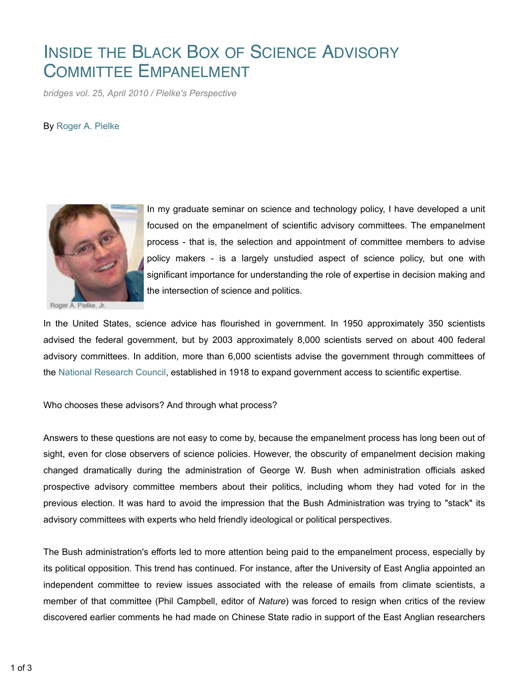## INSIDE THE BLACK BOX OF SCIENCE ADVISORY COMMITTEE EMPANELMENT

*bridges vol. 25, April 2010 / Pielke's Perspective*

## By Roger A. Pielke



Roger A. Pielke, Jr.

In my graduate seminar on science and technology policy, I have developed a unit focused on the empanelment of scientific advisory committees. The empanelment process - that is, the selection and appointment of committee members to advise policy makers - is a largely unstudied aspect of science policy, but one with significant importance for understanding the role of expertise in decision making and the intersection of science and politics.

In the United States, science advice has flourished in government. In 1950 approximately 350 scientists advised the federal government, but by 2003 approximately 8,000 scientists served on about 400 federal advisory committees. In addition, more than 6,000 scientists advise the government through committees of the National Research Council, established in 1918 to expand government access to scientific expertise.

Who chooses these advisors? And through what process?

Answers to these questions are not easy to come by, because the empanelment process has long been out of sight, even for close observers of science policies. However, the obscurity of empanelment decision making changed dramatically during the administration of George W. Bush when administration officials asked prospective advisory committee members about their politics, including whom they had voted for in the previous election. It was hard to avoid the impression that the Bush Administration was trying to "stack" its advisory committees with experts who held friendly ideological or political perspectives.

The Bush administration's efforts led to more attention being paid to the empanelment process, especially by its political opposition. This trend has continued. For instance, after the University of East Anglia appointed an independent committee to review issues associated with the release of emails from climate scientists, a member of that committee (Phil Campbell, editor of *Nature*) was forced to resign when critics of the review discovered earlier comments he had made on Chinese State radio in support of the East Anglian researchers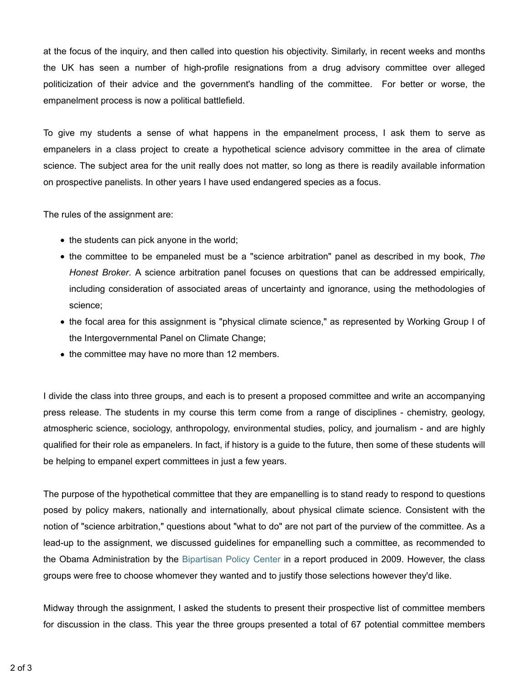at the focus of the inquiry, and then called into question his objectivity. Similarly, in recent weeks and months the UK has seen a number of high-profile resignations from a drug advisory committee over alleged politicization of their advice and the government's handling of the committee. For better or worse, the empanelment process is now a political battlefield.

To give my students a sense of what happens in the empanelment process, I ask them to serve as empanelers in a class project to create a hypothetical science advisory committee in the area of climate science. The subject area for the unit really does not matter, so long as there is readily available information on prospective panelists. In other years I have used endangered species as a focus.

The rules of the assignment are:

- the students can pick anyone in the world;
- the committee to be empaneled must be a "science arbitration" panel as described in my book, *The Honest Broker*. A science arbitration panel focuses on questions that can be addressed empirically, including consideration of associated areas of uncertainty and ignorance, using the methodologies of science;
- the focal area for this assignment is "physical climate science," as represented by Working Group I of the Intergovernmental Panel on Climate Change;
- the committee may have no more than 12 members.

I divide the class into three groups, and each is to present a proposed committee and write an accompanying press release. The students in my course this term come from a range of disciplines - chemistry, geology, atmospheric science, sociology, anthropology, environmental studies, policy, and journalism - and are highly qualified for their role as empanelers. In fact, if history is a guide to the future, then some of these students will be helping to empanel expert committees in just a few years.

The purpose of the hypothetical committee that they are empanelling is to stand ready to respond to questions posed by policy makers, nationally and internationally, about physical climate science. Consistent with the notion of "science arbitration," questions about "what to do" are not part of the purview of the committee. As a lead-up to the assignment, we discussed guidelines for empanelling such a committee, as recommended to the Obama Administration by the Bipartisan Policy Center in a report produced in 2009. However, the class groups were free to choose whomever they wanted and to justify those selections however they'd like.

Midway through the assignment, I asked the students to present their prospective list of committee members for discussion in the class. This year the three groups presented a total of 67 potential committee members